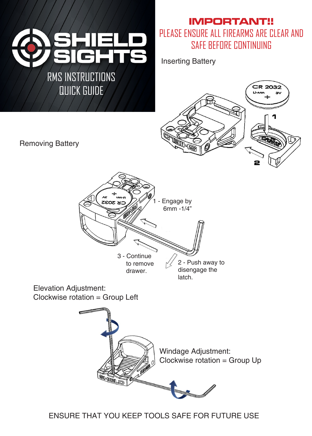

QUICK GUIDE

**IMPORTANT!!** PLEASE ENSURE ALL FIREARMS ARE CLEAR AND SAFE BEFORE CONTINUING

Inserting Battery



Removing Battery



Elevation Adjustment: Clockwise rotation = Group Left



ENSURE THAT YOU KEEP TOOLS SAFE FOR FUTURE USE